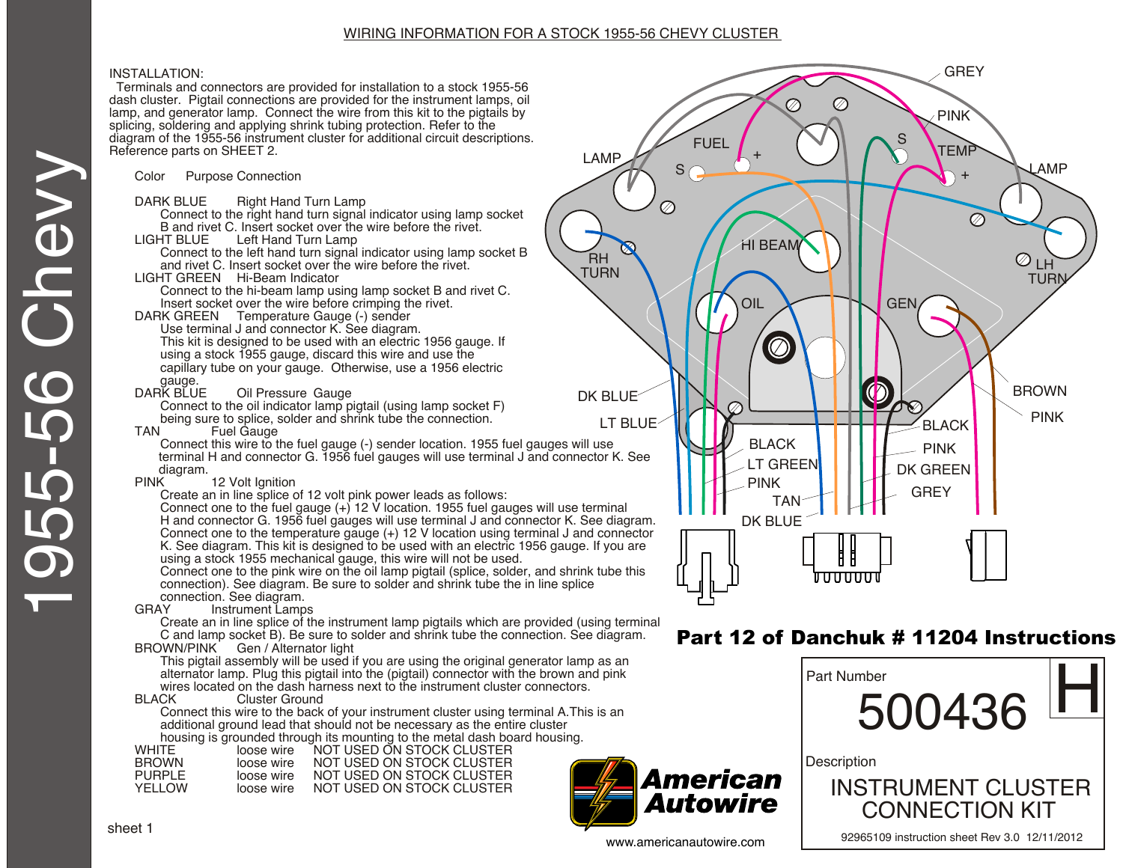# WIRING INFORMATION FOR A STOCK 1955-56 CHEVY CLUSTER

# INSTALLATION:

 Terminals and connectors are provided for installation to a stock 1955-56 dash cluster. Pigtail connections are provided for the instrument lamps, oil lamp, and generator lamp. Connect the wire from this kit to the pigtails by splicing, soldering and applying shrink tubing protection. Refer to the diagram of the 1955-56 instrument cluster for additional circuit descriptions. Reference parts on SHEET 2.

Color Purpose Connection

- DARK BLUE Right Hand Turn Lamp
- Connect to the right hand turn signal indicator using lamp socket B and rivet C. Insert socket over the wire before the rivet.<br>I IGHT BLUF Left Hand Turn Lamp
- Left Hand Turn Lamp
	- Connect to the left hand turn signal indicator using lamp socket B and rivet C. Insert socket over the wire before the rivet.
- LIGHT GREEN Hi-Beam Indicator

Connect to the hi-beam lamp using lamp socket B and rivet C. Insert socket over the wire before crimping the rivet.

DARK GREEN Temperature Gauge (-) sender

Use terminal J and connector K. See diagram. This kit is designed to be used with an electric 1956 gauge. If using a stock 1955 gauge, discard this wire and use the capillary tube on your gauge. Otherwise, use a 1956 electric

gauge.<br>DARK BLUE **Oil Pressure Gauge** 

Connect to the oil indicator lamp pigtail (using lamp socket F) being sure to splice, solder and shrink tube the connection.<br>TAN Fuel Gauge

Fuel Gauge

Connect this wire to the fuel gauge (-) sender location. 1955 fuel gauges will use terminal H and connector G. 1956 fuel gauges will use terminal J and connector K. See

diagram.<br>PINK 12 Volt Ignition

Create an in line splice of 12 volt pink power leads as follows:

Connect one to the fuel gauge (+) 12 V location. 1955 fuel gauges will use terminal H and connector G. 1956 fuel gauges will use terminal J and connector K. See diagram. Connect one to the temperature gauge (+) 12 V location using terminal J and connector K. See diagram. This kit is designed to be used with an electric 1956 gauge. If you are using a stock 1955 mechanical gauge, this wire will not be used.

Connect one to the pink wire on the oil lamp pigtail (splice, solder, and shrink tube this connection). See diagram. Be sure to solder and shrink tube the in line splice

#### connection. See diagram.<br>GRAY lnstrument Lamp Instrument Lamps

Create an in line splice of the instrument lamp pigtails which are provided (using terminal C and lamp socket B). Be sure to solder and shrink tube the connection. See diagram. BROWN/PINK Gen / Alternator light

This pigtail assembly will be used if you are using the original generator lamp as an alternator lamp. Plug this pigtail into the (pigtail) connector with the brown and pink wires located on the dash harness next to the instrument cluster connectors.<br>BLACK Cluster Ground

# Cluster Ground

Connect this wire to the back of your instrument cluster using terminal A.This is an additional ground lead that should not be necessary as the entire cluster housing is grounded through its mounting to the metal dash board housing.

|              |            | modoling to groundou through ito modifinity to the motal daon bod |
|--------------|------------|-------------------------------------------------------------------|
| WHITF        | loose wire | NOT USED ON STOCK CLUSTER                                         |
| <b>BROWN</b> | loose wire | NOT USED ON STOCK CLUSTER                                         |
| PURPI F      | loose wire | NOT USED ON STOCK CLUSTER                                         |
| YFI I OW     | loose wire | NOT USED ON STOCK CLUSTER                                         |
|              |            |                                                                   |



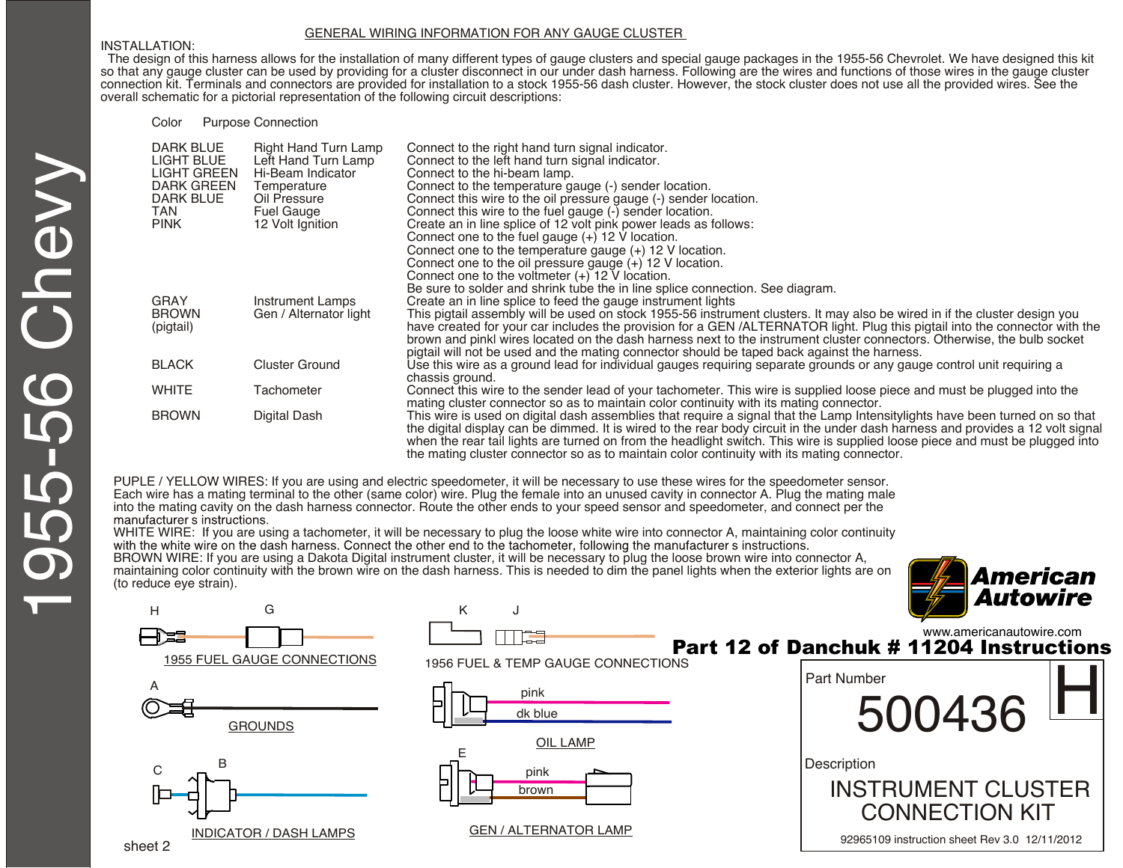#### GENERAL WIRING INFORMATION FOR ANY GAUGE CLUSTER

#### INSTALLATION:

 The design of this harness allows for the installation of many different types of gauge clusters and special gauge packages in the 1955-56 Chevrolet. We have designed this kit so that any gauge cluster can be used by providing for a cluster disconnect in our under dash harness. Following are the wires and functions of those wires in the gauge cluster connection kit. Terminals and connectors are provided for installation to a stock 1955-56 dash cluster. However, the stock cluster does not use all the provided wires. See the overall schematic for a pictorial representation of the following circuit descriptions:

Color Purpose Connection

| DARK BLUE<br><b>LIGHT BLUE</b> | Right Hand Turn Lamp                     | Connect to the right hand turn signal indicator.                                                                                |
|--------------------------------|------------------------------------------|---------------------------------------------------------------------------------------------------------------------------------|
| <b>LIGHT GREEN</b>             | Left Hand Turn Lamp<br>Hi-Beam Indicator | Connect to the left hand turn signal indicator.<br>Connect to the hi-beam lamp.                                                 |
| <b>DARK GREEN</b>              | Temperature                              | Connect to the temperature gauge (-) sender location.                                                                           |
| <b>DARK BLUE</b>               | Oil Pressure                             | Connect this wire to the oil pressure gauge (-) sender location.                                                                |
| TAN.                           | <b>Fuel Gauge</b>                        | Connect this wire to the fuel gauge (-) sender location.                                                                        |
| <b>PINK</b>                    |                                          | Create an in line splice of 12 volt pink power leads as follows:                                                                |
|                                | 12 Volt Ignition                         |                                                                                                                                 |
|                                |                                          | Connect one to the fuel gauge $(+)$ 12 V location.                                                                              |
|                                |                                          | Connect one to the temperature gauge $(+)$ 12 V location.                                                                       |
|                                |                                          | Connect one to the oil pressure gauge (+) 12 V location.                                                                        |
|                                |                                          | Connect one to the voltmeter $(+)$ 12 V location.                                                                               |
|                                |                                          | Be sure to solder and shrink tube the in line splice connection. See diagram.                                                   |
| <b>GRAY</b>                    | Instrument Lamps                         | Create an in line splice to feed the gauge instrument lights                                                                    |
| <b>BROWN</b>                   | Gen / Alternator light                   | This pigtail assembly will be used on stock 1955-56 instrument clusters. It may also be wired in if the cluster design you      |
| (pigtail)                      |                                          | have created for your car includes the provision for a GEN/ALTERNATOR light. Plug this pigtail into the connector with the      |
|                                |                                          | brown and pinkl wires located on the dash harness next to the instrument cluster connectors. Otherwise, the bulb socket         |
|                                |                                          | pigtail will not be used and the mating connector should be taped back against the harness.                                     |
| <b>BLACK</b>                   | <b>Cluster Ground</b>                    | Use this wire as a ground lead for individual gauges requiring separate grounds or any gauge control unit requiring a           |
|                                |                                          | chassis ground.                                                                                                                 |
| <b>WHITE</b>                   | Tachometer                               | Connect this wire to the sender lead of your tachometer. This wire is supplied loose piece and must be plugged into the         |
|                                |                                          | mating cluster connector so as to maintain color continuity with its mating connector.                                          |
| <b>BROWN</b>                   | Digital Dash                             | This wire is used on digital dash assemblies that require a signal that the Lamp Intensitylights have been turned on so that    |
|                                |                                          | the digital display can be dimmed. It is wired to the rear body circuit in the under dash harness and provides a 12 volt signal |
|                                |                                          | when the rear tail lights are turned on from the headlight switch. This wire is supplied loose piece and must be plugged into   |
|                                |                                          | the mating cluster connector so as to maintain color continuity with its mating connector.                                      |

PUPLE / YELLOW WIRES: If you are using and electric speedometer, it will be necessary to use these wires for the speedometer sensor. Each wire has a mating terminal to the other (same color) wire. Plug the female into an unused cavity in connector A. Plug the mating male into the mating cavity on the dash harness connector. Route the other ends to your speed sensor and speedometer, and connect per the

WHITE WIRE: If you are using a tachometer, it will be necessary to plug the loose white wire into connector A, maintaining color continuity with the white wire on the dash harness. Connect the other end to the tachometer,

BROWN WIRE: If you are using a Dakota Digital instrument cluster, it will be necessary to plug the loose brown wire into connector A, maintaining color continuity with the brown wire on the dash harness. This is needed to dim the panel lights when the exterior lights are on (to reduce eye strain).





www.americanautowire.com Part 12 of Danchuk # 11204 Instructions

| <b>Part Number</b><br>500436                                           |  |
|------------------------------------------------------------------------|--|
| Description<br><b>INSTRUMENT CLUSTER</b>                               |  |
| <b>CONNECTION KIT</b><br>92965109 instruction sheet Rev 3.0 12/11/2012 |  |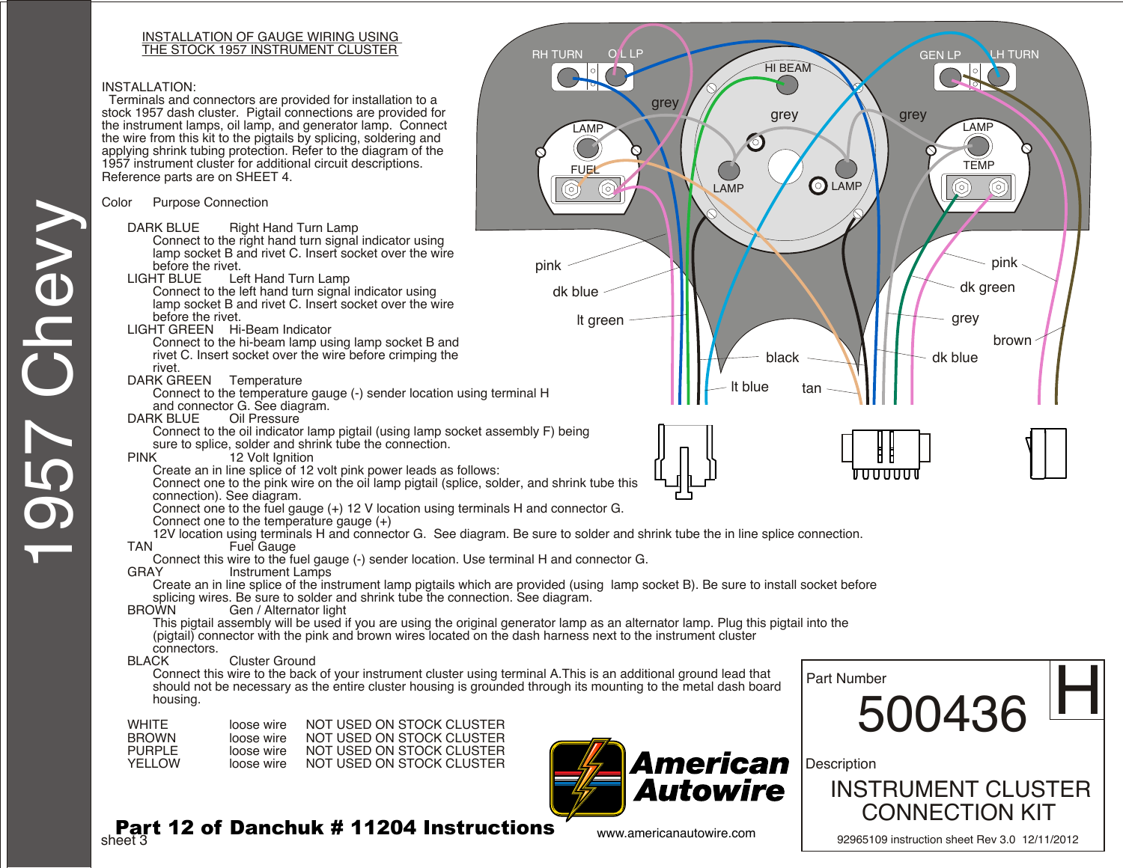#### INSTALLATION OF GAUGE WIRING USING THE STOCK 1957 INSTRUMENT CLUSTER RH TURN OLLP

## INSTALLATION:

1957 Chevy

**D570** 

Chevy

 Terminals and connectors are provided for installation to a stock 1957 dash cluster. Pigtail connections are provided for the instrument lamps, oil lamp, and generator lamp. Connect the wire from this kit to the pigtails by splicing, soldering and applying shrink tubing protection. Refer to the diagram of the 1957 instrument cluster for additional circuit descriptions. Reference parts are on SHEET 4.

## Color Purpose Connection

- DARK BLUE Right Hand Turn Lamp Connect to the right hand turn signal indicator using lamp socket B and rivet C. Insert socket over the wire before the rivet.<br>LIGHT BLUE Le
- Left Hand Turn Lamp Connect to the left hand turn signal indicator using lamp socket B and rivet C. Insert socket over the wire before the rivet.
- LIGHT GREEN Hi-Beam Indicator
	- Connect to the hi-beam lamp using lamp socket B and rivet C. Insert socket over the wire before crimping the rivet.
- DARK GREEN Temperature
	- Connect to the temperature gauge (-) sender location using terminal H and connector G. See diagram.
- DARK BLUE Oil Pressure
	- Connect to the oil indicator lamp pigtail (using lamp socket assembly F) being sure to splice, solder and shrink tube the connection.
- PINK 12 Volt Ignition
	- Create an in line splice of 12 volt pink power leads as follows:
	- Connect one to the pink wire on the oil lamp pigtail (splice, solder, and shrink tube this connection). See diagram.
	- Connect one to the fuel gauge (+) 12 V location using terminals H and connector G.
	- Connect one to the temperature gauge (+)
- 12V location using terminals H and connector G. See diagram. Be sure to solder and shrink tube the in line splice connection.<br>TAN Fuel Gauge

 $\circledS$ 

**Fuel Gauge** 

Connect this wire to the fuel gauge (-) sender location. Use terminal H and connector G.

Instrument Lamps

Create an in line splice of the instrument lamp pigtails which are provided (using lamp socket B). Be sure to install socket before splicing wires. Be sure to solder and shrink tube the connection. See diagram.<br>BROWN Gen / Alternator light

# Gen / Alternator light

This pigtail assembly will be used if you are using the original generator lamp as an alternator lamp. Plug this pigtail into the (pigtail) connector with the pink and brown wires located on the dash harness next to the instrument cluster

#### connectors.<br>BLACK Cluster Ground

Connect this wire to the back of your instrument cluster using terminal A.This is an additional ground lead that should not be necessary as the entire cluster housing is grounded through its mounting to the metal dash board housing.

| WHITF.<br><b>BROWN</b><br>PURPI F<br>YFI I OW | loose wire<br>loose wire<br>loose wire<br>loose wire | NOT USED ON STOCK CLUSTER<br>NOT USED ON STOCK CLUSTER<br>NOT USED ON STOCK CLUSTER<br>NOT USED ON STOCK CLUSTER |
|-----------------------------------------------|------------------------------------------------------|------------------------------------------------------------------------------------------------------------------|
|                                               |                                                      |                                                                                                                  |
|                                               |                                                      |                                                                                                                  |





sheet 3 Part 12 of Danchuk # 11204 Instructions

500436 Part Number  $500436$   $H$ 

**LH TURN** 

**Description** 



92965109 instruction sheet Rev 3.0 12/11/2012